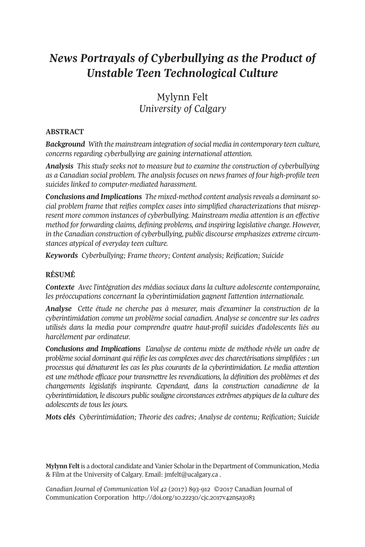# *News Portrayals of Cyberbullying as the Product of Unstable Teen Technological Culture*

## Mylynn Felt *University of Calgary*

### **ABSTRACT**

*Background With the mainstream integration ofsocial media in contemporary teen culture, concerns regarding cyberbullying are gaining international attention.*

*Analysis This study seeks not to measure but to examine the construction of cyberbullying as a Canadian social problem. The analysis focuses on news frames of four high-profile teen suicides linked to computer-mediated harassment.*

*Conclusions and Implications The mixed-method content analysisreveals a dominantsocial problem frame that reifies complex cases into simplified characterizations that misrepresent more common instances of cyberbullying. Mainstream media attention is an effective method for forwarding claims, defining problems, and inspiring legislative change. However, in the Canadian construction of cyberbullying, public discourse emphasizes extreme circumstances atypical of everyday teen culture.*

*Keywords Cyberbullying; Frame theory; Content analysis; Reification; Suicide*

### **RÉSUMÉ**

*Contexte Avec l'intégration des médias sociaux dans la culture adolescente contemporaine, les préoccupations concernant la cyberintimidation gagnent l'attention internationale.*

*Analyse Cette étude ne cherche pas à mesurer, mais d'examiner la construction de la cyberintimidation comme un problème social canadien. Analyse se concentre sur les cadres utilisés dans la media pour comprendre quatre haut-profil suicides d'adolescents liés au harcèlement par ordinateur.*

*Conclusions and Implications L'analyse de contenu mixte de méthode révèle un cadre de problème social dominant quiréifie les cas complexes avec des charectérisationssimplifiées: un processus qui dénaturent les cas les plus courants de la cyberintimidation. Le media attention est une méthode efficace pour transmettre les revendications, la définition des problèmes et des changements législatifs inspirante. Cependant, dans la construction canadienne de la cyberintimidation, le discours public souligne circonstances extrêmes atypiques de la culture des adolescents de tous les jours.*

*Mots clés Cyberintimidation; Theorie des cadres; Analyse de contenu; Reification; Suicide*

**Mylynn Felt**is a doctoral candidate and Vanier Scholarin the Department of Communication, Media & Film at the University of Calgary. Email: [jmfelt@ucalgary.ca](mailto:jmfelt@ucalgary.ca) .

*Canadian Journal of [Communication](http://www.cjc-online.ca) Vol 42* (2017) 893-912 ©2017 Canadian Journal of Communication Corporation <http://doi.org/10.22230/cjc.2017v42n5a3083>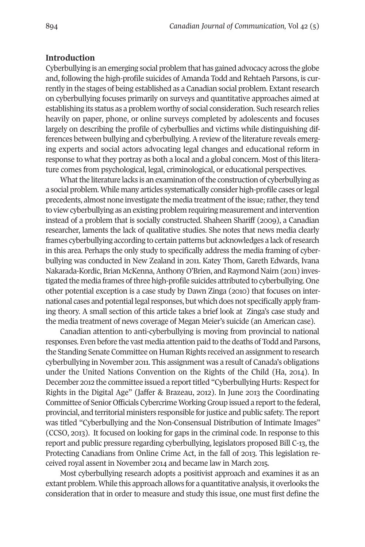#### **Introduction**

Cyberbullying is an emerging social problem that has gained advocacy across the globe and, following the high-profile suicides of Amanda Todd and Rehtaeh Parsons, is currently in the stages of being established as a Canadian social problem. Extant research on cyberbullying focuses primarily on surveys and quantitative approaches aimed at establishing its status as a problem worthy of social consideration. Such research relies heavily on paper, phone, or online surveys completed by adolescents and focuses largely on describing the profile of cyberbullies and victims while distinguishing differences between bullying and cyberbullying. A review of the literature reveals emerging experts and social actors advocating legal changes and educational reform in response to what they portray as both a local and a global concern. Most of this literature comes from psychological, legal, criminological, or educational perspectives.

What the literature lacks is an examination of the construction of cyberbullying as a social problem.While many articles systematically consider high-profile cases orlegal precedents, almost none investigate the media treatment of the issue; rather, they tend to view cyberbullying as an existing problem requiring measurement and intervention instead of a problem that is socially constructed. Shaheen Shariff (2009), a Canadian researcher, laments the lack of qualitative studies. She notes that news media clearly frames cyberbullying according to certain patterns but acknowledges a lack ofresearch in this area. Perhaps the only study to specifically address the media framing of cyberbullying was conducted in New Zealand in 2011. Katey Thom, Gareth Edwards, Ivana Nakarada-Kordic, Brian McKenna, Anthony O'Brien, and Raymond Nairn (2011) investigated the media frames ofthree high-profile suicides attributed to cyberbullying. One other potential exception is a case study by Dawn Zinga (2010) that focuses on international cases and potential legal responses, but which does not specifically apply framing theory. A small section of this article takes a brief look at Zinga's case study and the media treatment of news coverage of Megan Meier's suicide (an American case).

Canadian attention to anti-cyberbullying is moving from provincial to national responses. Even before the vast media attention paid to the deaths of Todd and Parsons, the Standing Senate Committee on Human Rights received an assignment to research cyberbullying in November 2011. This assignment was a result of Canada's obligations under the United Nations Convention on the Rights of the Child (Ha, 2014). In December 2012 the committee issued a report titled "Cyberbullying Hurts: Respect for Rights in the Digital Age" (Jaffer & Brazeau, 2012). In June 2013 the Coordinating Committee of Senior Officials Cybercrime Working Group issued a report to the federal, provincial, and territorial ministers responsible forjustice and public safety. The report was titled "Cyberbullying and the Non-Consensual Distribution of Intimate Images" (CCSO, 2013). It focused on looking for gaps in the criminal code. In response to this report and public pressure regarding cyberbullying, legislators proposed Bill C-13, the Protecting Canadians from Online Crime Act, in the fall of 2013. This legislation received royal assent in November 2014 and became law in March 2015.

Most cyberbullying research adopts a positivist approach and examines it as an extant problem. While this approach allows for a quantitative analysis, it overlooks the consideration that in order to measure and study this issue, one must first define the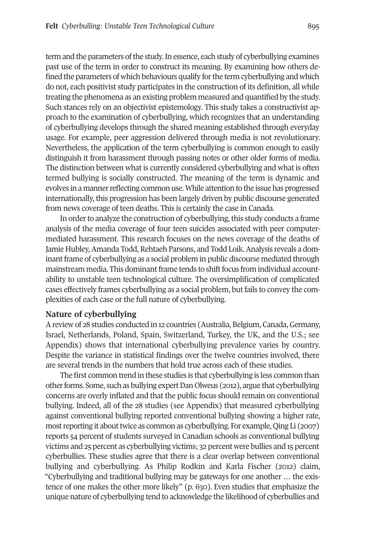term and the parameters of the study. In essence, each study of cyberbullying examines past use of the term in order to construct its meaning. By examining how others defined the parameters of which behaviours qualify for the term cyberbullying and which do not, each positivist study participates in the construction of its definition, all while treating the phenomena as an existing problem measured and quantified by the study. Such stances rely on an objectivist epistemology. This study takes a constructivist approach to the examination of cyberbullying, which recognizes that an understanding of cyberbullying develops through the shared meaning established through everyday usage. For example, peer aggression delivered through media is not revolutionary. Nevertheless, the application of the term cyberbullying is common enough to easily distinguish it from harassment through passing notes or other older forms of media. The distinction between what is currently considered cyberbullying and what is often termed bullying is socially constructed. The meaning of the term is dynamic and evolves in a mannerreflecting common use.While attention to the issue has progressed internationally, this progression has been largely driven by public discourse generated from news coverage of teen deaths. This is certainly the case in Canada.

In order to analyze the construction of cyberbullying, this study conducts a frame analysis of the media coverage of four teen suicides associated with peer computermediated harassment. This research focuses on the news coverage of the deaths of Jamie Hubley, Amanda Todd, Rehtaeh Parsons, and Todd Loik. Analysis reveals a dominant frame of cyberbullying as a social problem in public discourse mediated through mainstream media. This dominant frame tends to shift focus from individual accountability to unstable teen technological culture. The oversimplification of complicated cases effectively frames cyberbullying as a social problem, but fails to convey the complexities of each case or the full nature of cyberbullying.

#### **Nature of cyberbullying**

Areview of 28 studies conducted in 12 countries (Australia, Belgium, Canada,Germany, Israel, Netherlands, Poland, Spain, Switzerland, Turkey, the UK, and the U.S.; see Appendix) shows that international cyberbullying prevalence varies by country. Despite the variance in statistical findings over the twelve countries involved, there are several trends in the numbers that hold true across each of these studies.

The first common trend in these studies is that cyberbullying is less common than otherforms. Some, such as bullying expertDan Olweus (2012), argue that cyberbullying concerns are overly inflated and that the public focus should remain on conventional bullying. Indeed, all of the 28 studies (see Appendix) that measured cyberbullying against conventional bullying reported conventional bullying showing a higher rate, most reporting it about twice as common as cyberbullying. For example, Qing Li (2007) reports 54 percent of students surveyed in Canadian schools as conventional bullying victims and 25 percent as cyberbullying victims; 32 percent were bullies and 15 percent cyberbullies. These studies agree that there is a clear overlap between conventional bullying and cyberbullying. As Philip Rodkin and Karla Fischer (2012) claim, "Cyberbullying and traditional bullying may be gateways for one another … the existence of one makes the other more likely" (p. 630). Even studies that emphasize the unique nature of cyberbullying tend to acknowledge the likelihood of cyberbullies and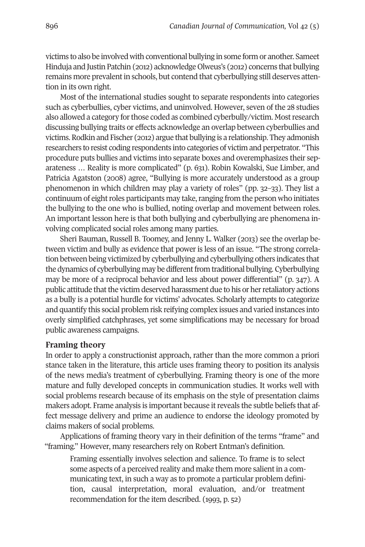victims to also be involved with conventional bullying in some form or another. Sameet Hinduja and Justin Patchin (2012) acknowledge Olweus's (2012) concerns that bullying remains more prevalent in schools, but contend that cyberbullying still deserves attention in its own right.

Most of the international studies sought to separate respondents into categories such as cyberbullies, cyber victims, and uninvolved. However, seven of the 28 studies also allowed a category forthose coded as combined cyberbully/victim. Mostresearch discussing bullying traits or effects acknowledge an overlap between cyberbullies and victims.Rodkin and Fischer (2012) argue that bullying is a relationship. They admonish researchers to resist coding respondents into categories of victim and perpetrator. "This procedure puts bullies and victims into separate boxes and overemphasizes their separateness … Reality is more complicated" (p. 631). Robin Kowalski, Sue Limber, and Patricia Agatston (2008) agree, "Bullying is more accurately understood as a group phenomenon in which children may play a variety of roles" (pp. 32–33). They list a continuum of eight roles participants may take, ranging from the person who initiates the bullying to the one who is bullied, noting overlap and movement between roles. An important lesson here is that both bullying and cyberbullying are phenomena involving complicated social roles among many parties.

Sheri Bauman, Russell B. Toomey, and Jenny L. Walker (2013) see the overlap between victim and bully as evidence that power is less of an issue. "The strong correlation between being victimized by cyberbullying and cyberbullying others indicates that the dynamics of cyberbullying may be different from traditional bullying. Cyberbullying may be more of a reciprocal behavior and less about power differential" (p. 347). A public attitude that the victim deserved harassment due to his or her retaliatory actions as a bully is a potential hurdle for victims' advocates. Scholarly attempts to categorize and quantify this social problem risk reifying complex issues and varied instances into overly simplified catchphrases, yet some simplifications may be necessary for broad public awareness campaigns.

#### **Framing theory**

In order to apply a constructionist approach, rather than the more common a priori stance taken in the literature, this article uses framing theory to position its analysis of the news media's treatment of cyberbullying. Framing theory is one of the more mature and fully developed concepts in communication studies. It works well with social problems research because of its emphasis on the style of presentation claims makers adopt. Frame analysis is important because it reveals the subtle beliefs that affect message delivery and prime an audience to endorse the ideology promoted by claims makers of social problems.

Applications of framing theory vary in their definition of the terms "frame" and "framing." However, many researchers rely on Robert Entman's definition.

Framing essentially involves selection and salience. To frame is to select some aspects of a perceived reality and make them more salient in a communicating text, in such a way as to promote a particular problem definition, causal interpretation, moral evaluation, and/or treatment recommendation for the item described. (1993, p. 52)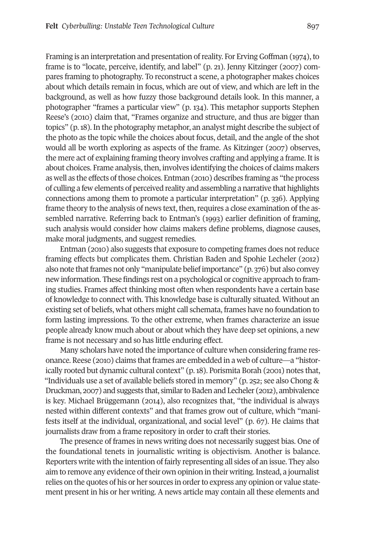Framing is an interpretation and presentation of reality. For Erving Goffman (1974), to frame is to "locate, perceive, identify, and label" (p. 21). Jenny Kitzinger (2007) compares framing to photography. To reconstruct a scene, a photographer makes choices about which details remain in focus, which are out of view, and which are left in the background, as well as how fuzzy those background details look. In this manner, a photographer "frames a particular view" (p. 134). This metaphor supports Stephen Reese's (2010) claim that, "Frames organize and structure, and thus are bigger than topics" (p.18). In the photography metaphor, an analyst might describe the subject of the photo as the topic while the choices about focus, detail, and the angle of the shot would all be worth exploring as aspects of the frame. As Kitzinger (2007) observes, the mere act of explaining framing theory involves crafting and applying a frame. It is about choices. Frame analysis, then, involves identifying the choices of claims makers as well as the effects of those choices. Entman (2010) describes framing as "the process of culling a few elements of perceived reality and assembling a narrative that highlights connections among them to promote a particular interpretation" (p. 336). Applying frame theory to the analysis of news text, then, requires a close examination of the assembled narrative. Referring back to Entman's (1993) earlier definition of framing, such analysis would consider how claims makers define problems, diagnose causes, make moral judgments, and suggest remedies.

Entman (2010) also suggests that exposure to competing frames does not reduce framing effects but complicates them. Christian Baden and Spohie Lecheler (2012) also note that frames not only "manipulate belief importance" (p. 376) but also convey new information. These findings rest on a psychological or cognitive approach to framing studies. Frames affect thinking most often when respondents have a certain base of knowledge to connect with. This knowledge base is culturally situated. Without an existing set of beliefs, what others might call schemata, frames have no foundation to form lasting impressions. To the other extreme, when frames characterize an issue people already know much about or about which they have deep set opinions, a new frame is not necessary and so has little enduring effect.

Many scholars have noted the importance of culture when considering frame resonance. Reese (2010) claims thatframes are embedded in a web of culture—a "historically rooted but dynamic cultural context" (p.18). Porismita Borah (2001) notes that, "Individuals use a set of available beliefs stored in memory" (p. 252; see also Chong & Druckman, 2007) and suggests that, similar to Baden and Lecheler (2012), ambivalence is key. Michael Brüggemann (2014), also recognizes that, "the individual is always nested within different contexts" and that frames grow out of culture, which "manifests itself at the individual, organizational, and social level" (p. 67). He claims that journalists draw from a frame repository in order to craft their stories.

The presence of frames in news writing does not necessarily suggest bias. One of the foundational tenets in journalistic writing is objectivism. Another is balance. Reporters write with the intention of fairly representing all sides of an issue. They also aim to remove any evidence of their own opinion in their writing. Instead, a journalist relies on the quotes of his or her sources in order to express any opinion or value statement present in his or her writing. A news article may contain all these elements and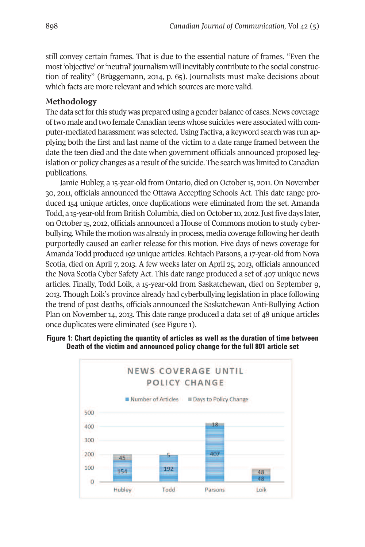still convey certain frames. That is due to the essential nature of frames. "Even the most'objective' or'neutral' journalism will inevitably contribute to the social construction of reality" (Brüggemann, 2014, p. 65). Journalists must make decisions about which facts are more relevant and which sources are more valid.

### **Methodology**

The data set for this study was prepared using a gender balance of cases. News coverage oftwo male and two female Canadian teens whose suicides were associated with computer-mediated harassment was selected. Using Factiva, a keyword search was run applying both the first and last name of the victim to a date range framed between the date the teen died and the date when government officials announced proposed legislation or policy changes as a result of the suicide. The search was limited to Canadian publications.

Jamie Hubley, a 15-year-old from Ontario, died on October 15, 2011. On November 30, 2011, officials announced the Ottawa Accepting Schools Act. This date range produced 154 unique articles, once duplications were eliminated from the set. Amanda Todd, a 15-year-old from British Columbia, died on October 10, 2012. Just five days later, on October15, 2012, officials announced a House of Commons motion to study cyberbullying. While the motion was already in process, media coverage following her death purportedly caused an earlier release for this motion. Five days of news coverage for Amanda Todd produced 192 unique articles.Rehtaeh Parsons, a 17-year-old from Nova Scotia, died on April 7, 2013. A few weeks later on April 25, 2013, officials announced the Nova Scotia Cyber Safety Act. This date range produced a set of 407 unique news articles. Finally, Todd Loik, a 15-year-old from Saskatchewan, died on September 9, 2013. Though Loik's province already had cyberbullying legislation in place following the trend of past deaths, officials announced the Saskatchewan Anti-Bullying Action Plan on November 14, 2013. This date range produced a data set of 48 unique articles once duplicates were eliminated (see Figure 1).



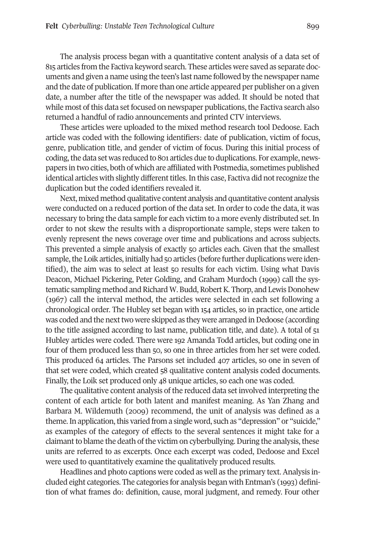The analysis process began with a quantitative content analysis of a data set of 815 articles from the Factiva keyword search. These articles were saved as separate documents and given a name using the teen's last name followed by the newspaper name and the date of publication. If more than one article appeared per publisher on a given date, a number after the title of the newspaper was added. It should be noted that while most of this data set focused on newspaper publications, the Factiva search also returned a handful of radio announcements and printed CTV interviews.

These articles were uploaded to the mixed method research tool Dedoose. Each article was coded with the following identifiers: date of publication, victim of focus, genre, publication title, and gender of victim of focus. During this initial process of coding, the data set was reduced to 801 articles due to duplications. For example, newspapers in two cities, both of which are affiliated with Postmedia, sometimes published identical articles with slightly different titles. In this case, Factiva did not recognize the duplication but the coded identifiers revealed it.

Next, mixed method qualitative content analysis and quantitative content analysis were conducted on a reduced portion of the data set. In order to code the data, it was necessary to bring the data sample for each victim to a more evenly distributed set. In order to not skew the results with a disproportionate sample, steps were taken to evenly represent the news coverage over time and publications and across subjects. This prevented a simple analysis of exactly 50 articles each. Given that the smallest sample, the Loik articles, initially had 50 articles (before further duplications were identified), the aim was to select at least 50 results for each victim. Using what Davis Deacon, Michael Pickering, Peter Golding, and Graham Murdoch (1999) call the systematic sampling method and Richard W. Budd, Robert K. Thorp, and Lewis Donohew (1967) call the interval method, the articles were selected in each set following a chronological order. The Hubley set began with 154 articles, so in practice, one article was coded and the next two were skipped as they were arranged in Dedoose (according to the title assigned according to last name, publication title, and date). A total of 51 Hubley articles were coded. There were 192 Amanda Todd articles, but coding one in four of them produced less than 50, so one in three articles from her set were coded. This produced 64 articles. The Parsons set included 407 articles, so one in seven of that set were coded, which created 58 qualitative content analysis coded documents. Finally, the Loik set produced only 48 unique articles, so each one was coded.

The qualitative content analysis of the reduced data set involved interpreting the content of each article for both latent and manifest meaning. As Yan Zhang and Barbara M. Wildemuth (2009) recommend, the unit of analysis was defined as a theme. In application, this varied from a single word, such as "depression" or "suicide," as examples of the category of effects to the several sentences it might take for a claimant to blame the death of the victim on cyberbullying. During the analysis, these units are referred to as excerpts. Once each excerpt was coded, Dedoose and Excel were used to quantitatively examine the qualitatively produced results.

Headlines and photo captions were coded as well as the primary text. Analysis included eight categories. The categories for analysis began with Entman's (1993) definition of what frames do: definition, cause, moral judgment, and remedy. Four other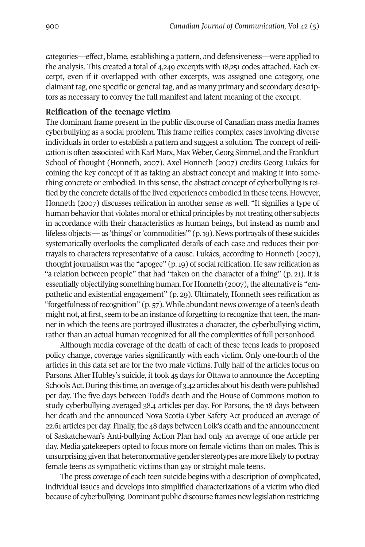categories—effect, blame, establishing a pattern, and defensiveness—were applied to the analysis. This created a total of 4,249 excerpts with 18,251 codes attached. Each excerpt, even if it overlapped with other excerpts, was assigned one category, one claimant tag, one specific or general tag, and as many primary and secondary descriptors as necessary to convey the full manifest and latent meaning of the excerpt.

#### **Reification of the teenage victim**

The dominant frame present in the public discourse of Canadian mass media frames cyberbullying as a social problem. This frame reifies complex cases involving diverse individuals in order to establish a pattern and suggest a solution. The concept of reification is often associated with Karl Marx, Max Weber, Georg Simmel, and the Frankfurt School of thought (Honneth, 2007). Axel Honneth (2007) credits Georg Lukács for coining the key concept of it as taking an abstract concept and making it into something concrete or embodied. In this sense, the abstract concept of cyberbullying is reified by the concrete details of the lived experiences embodied in these teens. However, Honneth (2007) discusses reification in another sense as well. "It signifies a type of human behavior that violates moral or ethical principles by not treating other subjects in accordance with their characteristics as human beings, but instead as numb and lifeless objects—as 'things' or'commodities'" (p.19). News portrayals ofthese suicides systematically overlooks the complicated details of each case and reduces their portrayals to characters representative of a cause. Lukács, according to Honneth (2007), thought journalism was the "apogee"  $(p, 19)$  of social reification. He saw reification as "a relation between people" that had "taken on the character of a thing" (p. 21). It is essentially objectifying something human. For Honneth (2007), the alternative is "empathetic and existential engagement" (p. 29). Ultimately, Honneth sees reification as "forgetfulness ofrecognition" (p. 57). While abundant news coverage of a teen's death might not, at first, seem to be an instance of forgetting to recognize that teen, the manner in which the teens are portrayed illustrates a character, the cyberbullying victim, rather than an actual human recognized for all the complexities of full personhood.

Although media coverage of the death of each of these teens leads to proposed policy change, coverage varies significantly with each victim. Only one-fourth of the articles in this data set are for the two male victims. Fully half of the articles focus on Parsons. After Hubley's suicide, it took 45 days for Ottawa to announce the Accepting Schools Act. During this time, an average of 3.42 articles about his death were published per day. The five days between Todd's death and the House of Commons motion to study cyberbullying averaged 38.4 articles per day. For Parsons, the 18 days between her death and the announced Nova Scotia Cyber Safety Act produced an average of 22.61 articles per day. Finally, the 48 days between Loik's death and the announcement of Saskatchewan's Anti-bullying Action Plan had only an average of one article per day. Media gatekeepers opted to focus more on female victims than on males. This is unsurprising given that heteronormative gender stereotypes are more likely to portray female teens as sympathetic victims than gay or straight male teens.

The press coverage of each teen suicide begins with a description of complicated, individual issues and develops into simplified characterizations of a victim who died because of cyberbullying.Dominant public discourse frames new legislation restricting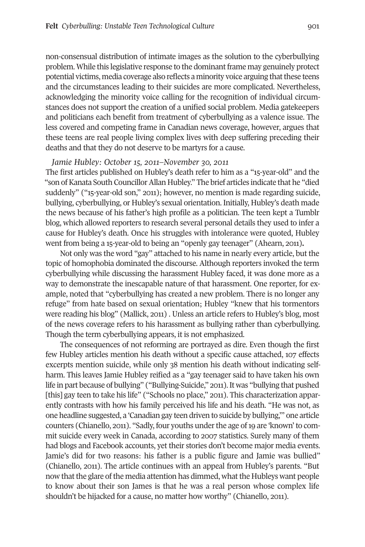non-consensual distribution of intimate images as the solution to the cyberbullying problem. While this legislative response to the dominant frame may genuinely protect potential victims, media coverage also reflects a minority voice arguing that these teens and the circumstances leading to their suicides are more complicated. Nevertheless, acknowledging the minority voice calling for the recognition of individual circumstances does not support the creation of a unified social problem. Media gatekeepers and politicians each benefit from treatment of cyberbullying as a valence issue. The less covered and competing frame in Canadian news coverage, however, argues that these teens are real people living complex lives with deep suffering preceding their deaths and that they do not deserve to be martyrs for a cause.

#### *Jamie Hubley: October 15, 2011–November 30, 2011*

The first articles published on Hubley's death refer to him as a "15-year-old" and the "son of Kanata South Councillor Allan Hubley." The brief articles indicate that he "died suddenly" ("15-year-old son," 2011); however, no mention is made regarding suicide, bullying, cyberbullying, or Hubley's sexual orientation. Initially, Hubley's death made the news because of his father's high profile as a politician. The teen kept a Tumblr blog, which allowed reporters to research several personal details they used to infer a cause for Hubley's death. Once his struggles with intolerance were quoted, Hubley went from being a 15-year-old to being an "openly gay teenager" (Ahearn, 2011)**.**

Not only was the word "gay" attached to his name in nearly every article, but the topic of homophobia dominated the discourse. Although reporters invoked the term cyberbullying while discussing the harassment Hubley faced, it was done more as a way to demonstrate the inescapable nature of that harassment. One reporter, for example, noted that "cyberbullying has created a new problem. There is no longer any refuge" from hate based on sexual orientation; Hubley "knew that his tormentors were reading his blog" (Mallick, 2011) . Unless an article refers to Hubley's blog, most of the news coverage refers to his harassment as bullying rather than cyberbullying. Though the term cyberbullying appears, it is not emphasized.

The consequences of not reforming are portrayed as dire. Even though the first few Hubley articles mention his death without a specific cause attached, 107 effects excerpts mention suicide, while only 38 mention his death without indicating selfharm. This leaves Jamie Hubley reified as a "gay teenager said to have taken his own life in part because of bullying" ("Bullying-Suicide," 2011). It was "bullying that pushed [this] gay teen to take his life" ("Schools no place," 2011). This characterization apparently contrasts with how his family perceived his life and his death. "He was not, as one headline suggested, a 'Canadian gay teen driven to suicide by bullying,'" one article counters (Chianello, 2011). "Sadly, four youths under the age of 19 are 'known' to commit suicide every week in Canada, according to 2007 statistics. Surely many of them had blogs and Facebook accounts, yet their stories don't become major media events. Jamie's did for two reasons: his father is a public figure and Jamie was bullied" (Chianello, 2011). The article continues with an appeal from Hubley's parents. "But now that the glare of the media attention has dimmed, what the Hubleys want people to know about their son James is that he was a real person whose complex life shouldn't be hijacked for a cause, no matter how worthy" (Chianello, 2011).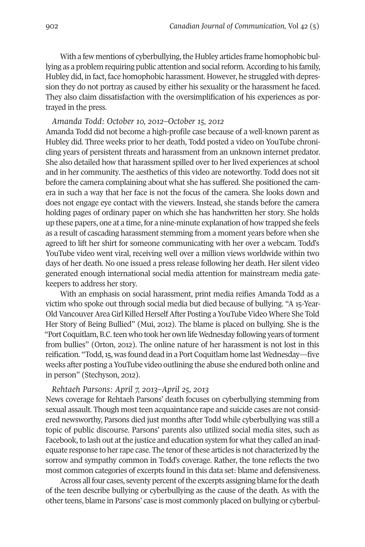With a few mentions of cyberbullying, the Hubley articles frame homophobic bullying as a problem requiring public attention and social reform. According to his family, Hubley did, in fact, face homophobic harassment. However, he struggled with depression they do not portray as caused by either his sexuality or the harassment he faced. They also claim dissatisfaction with the oversimplification of his experiences as portrayed in the press.

#### *Amanda Todd: October 10, 2012–October 15, 2012*

Amanda Todd did not become a high-profile case because of a well-known parent as Hubley did. Three weeks prior to her death, Todd posted a video on YouTube chronicling years of persistent threats and harassment from an unknown internet predator. She also detailed how that harassment spilled over to her lived experiences at school and in her community. The aesthetics of this video are noteworthy. Todd does not sit before the camera complaining about what she has suffered. She positioned the camera in such a way that her face is not the focus of the camera. She looks down and does not engage eye contact with the viewers. Instead, she stands before the camera holding pages of ordinary paper on which she has handwritten her story. She holds up these papers, one at a time, for a nine-minute explanation of how trapped she feels as a result of cascading harassment stemming from a moment years before when she agreed to lift her shirt for someone communicating with her over a webcam. Todd's YouTube video went viral, receiving well over a million views worldwide within two days of her death. No one issued a press release following her death. Her silent video generated enough international social media attention for mainstream media gatekeepers to address her story.

With an emphasis on social harassment, print media reifies Amanda Todd as a victim who spoke out through social media but died because of bullying. "A 15-Year-Old Vancouver Area Girl Killed Herself After Posting a YouTube Video Where She Told Her Story of Being Bullied" (Mui, 2012). The blame is placed on bullying. She is the "Port Coquitlam, B.C. teen who took her own life Wednesday following years of torment from bullies" (Orton, 2012). The online nature of her harassment is not lost in this reification. "Todd,15, was found dead in a Port Coquitlam home last Wednesday—five weeks after posting a YouTube video outlining the abuse she endured both online and in person" (Stechyson, 2012).

#### *Rehtaeh Parsons: April 7, 2013–April 25, 2013*

News coverage for Rehtaeh Parsons' death focuses on cyberbullying stemming from sexual assault. Though most teen acquaintance rape and suicide cases are not considered newsworthy, Parsons died just months after Todd while cyberbullying was still a topic of public discourse. Parsons' parents also utilized social media sites, such as Facebook, to lash out at the justice and education system for what they called an inadequate response to her rape case. The tenor of these articles is not characterized by the sorrow and sympathy common in Todd's coverage. Rather, the tone reflects the two most common categories of excerpts found in this data set: blame and defensiveness.

Across all four cases, seventy percent of the excerpts assigning blame for the death of the teen describe bullying or cyberbullying as the cause of the death. As with the otherteens, blame in Parsons' case is most commonly placed on bullying or cyberbul-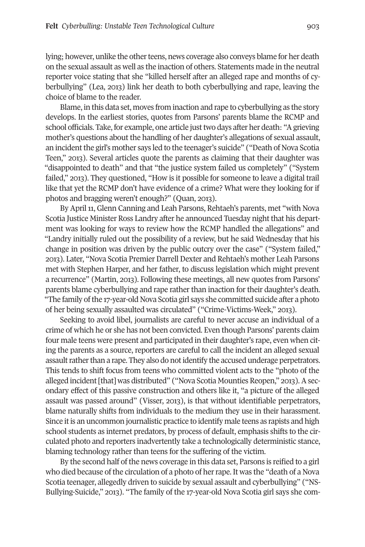lying; however, unlike the other teens, news coverage also conveys blame for her death on the sexual assault as well as the inaction of others. Statements made in the neutral reporter voice stating that she "killed herself after an alleged rape and months of cyberbullying" (Lea, 2013) link her death to both cyberbullying and rape, leaving the choice of blame to the reader.

Blame, in this data set, moves from inaction and rape to cyberbullying as the story develops. In the earliest stories, quotes from Parsons' parents blame the RCMP and school officials. Take, for example, one article just two days after her death: "A grieving mother's questions about the handling of her daughter's allegations of sexual assault, an incident the girl's mother says led to the teenager's suicide" ("Death of Nova Scotia Teen," 2013). Several articles quote the parents as claiming that their daughter was "disappointed to death" and that "the justice system failed us completely" ("System failed," 2013). They questioned, "How is it possible for someone to leave a digital trail like that yet the RCMP don't have evidence of a crime? What were they looking for if photos and bragging weren't enough?" (Quan, 2013).

By April 11, Glenn Canning and Leah Parsons, Rehtaeh's parents, met "with Nova Scotia Justice Minister Ross Landry after he announced Tuesday night that his department was looking for ways to review how the RCMP handled the allegations" and "Landry initially ruled out the possibility of a review, but he said Wednesday that his change in position was driven by the public outcry over the case" ("System failed," 2013). Later, "Nova Scotia Premier Darrell Dexter and Rehtaeh's mother Leah Parsons met with Stephen Harper, and her father, to discuss legislation which might prevent a recurrence" (Martin, 2013). Following these meetings, all new quotes from Parsons' parents blame cyberbullying and rape rather than inaction for their daughter's death. "The family of the 17-year-old Nova Scotia girl says she committed suicide after a photo of her being sexually assaulted was circulated" ("Crime-Victims-Week," 2013).

Seeking to avoid libel, journalists are careful to never accuse an individual of a crime of which he or she has not been convicted. Even though Parsons' parents claim four male teens were present and participated in their daughter's rape, even when citing the parents as a source, reporters are careful to call the incident an alleged sexual assault rather than a rape. They also do not identify the accused underage perpetrators. This tends to shift focus from teens who committed violent acts to the "photo of the alleged incident [that] was distributed" ("Nova Scotia Mounties Reopen," 2013). A secondary effect of this passive construction and others like it, "a picture of the alleged assault was passed around" (Visser, 2013), is that without identifiable perpetrators, blame naturally shifts from individuals to the medium they use in their harassment. Since it is an uncommon journalistic practice to identify male teens as rapists and high school students as internet predators, by process of default, emphasis shifts to the circulated photo and reporters inadvertently take a technologically deterministic stance, blaming technology rather than teens for the suffering of the victim.

By the second half of the news coverage in this data set, Parsons is reified to a girl who died because of the circulation of a photo of herrape. It was the "death of a Nova Scotia teenager, allegedly driven to suicide by sexual assault and cyberbullying" ("NS-Bullying-Suicide," 2013). "The family of the 17-year-old Nova Scotia girl says she com-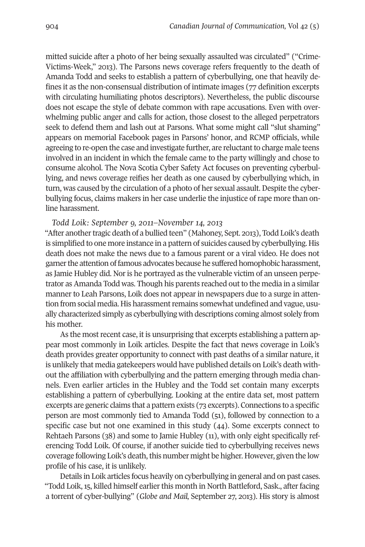mitted suicide after a photo of her being sexually assaulted was circulated" ("Crime-Victims-Week," 2013). The Parsons news coverage refers frequently to the death of Amanda Todd and seeks to establish a pattern of cyberbullying, one that heavily defines it as the non-consensual distribution of intimate images (77 definition excerpts with circulating humiliating photos descriptors). Nevertheless, the public discourse does not escape the style of debate common with rape accusations. Even with overwhelming public anger and calls for action, those closest to the alleged perpetrators seek to defend them and lash out at Parsons. What some might call "slut shaming" appears on memorial Facebook pages in Parsons' honor, and RCMP officials, while agreeing to re-open the case and investigate further, are reluctant to charge male teens involved in an incident in which the female came to the party willingly and chose to consume alcohol. The Nova Scotia Cyber Safety Act focuses on preventing cyberbullying, and news coverage reifies her death as one caused by cyberbullying which, in turn, was caused by the circulation of a photo of her sexual assault. Despite the cyberbullying focus, claims makers in her case underlie the injustice of rape more than online harassment.

#### *Todd Loik: September 9, 2011–November 14, 2013*

"After another tragic death of a bullied teen" (Mahoney, Sept. 2013), Todd Loik's death is simplified to one more instance in a pattern of suicides caused by cyberbullying. His death does not make the news due to a famous parent or a viral video. He does not garner the attention of famous advocates because he suffered homophobic harassment, as Jamie Hubley did. Nor is he portrayed as the vulnerable victim of an unseen perpetrator as Amanda Todd was. Though his parents reached out to the media in a similar manner to Leah Parsons, Loik does not appear in newspapers due to a surge in attention from social media. His harassment remains somewhat undefined and vague, usually characterized simply as cyberbullying with descriptions coming almost solely from his mother.

As the most recent case, it is unsurprising that excerpts establishing a pattern appear most commonly in Loik articles. Despite the fact that news coverage in Loik's death provides greater opportunity to connect with past deaths of a similar nature, it is unlikely that media gatekeepers would have published details on Loik's death without the affiliation with cyberbullying and the pattern emerging through media channels. Even earlier articles in the Hubley and the Todd set contain many excerpts establishing a pattern of cyberbullying. Looking at the entire data set, most pattern excerpts are generic claims that a pattern exists (73 excerpts). Connections to a specific person are most commonly tied to Amanda Todd (51), followed by connection to a specific case but not one examined in this study (44). Some excerpts connect to Rehtaeh Parsons (38) and some to Jamie Hubley (11), with only eight specifically referencing Todd Loik. Of course, if another suicide tied to cyberbullying receives news coverage following Loik's death, this number might be higher. However, given the low profile of his case, it is unlikely.

Details in Loik articles focus heavily on cyberbullying in general and on past cases. "Todd Loik, 15, killed himself earlier this month in North Battleford, Sask., after facing a torrent of cyber-bullying" (*Globe and Mail,* September 27, 2013). His story is almost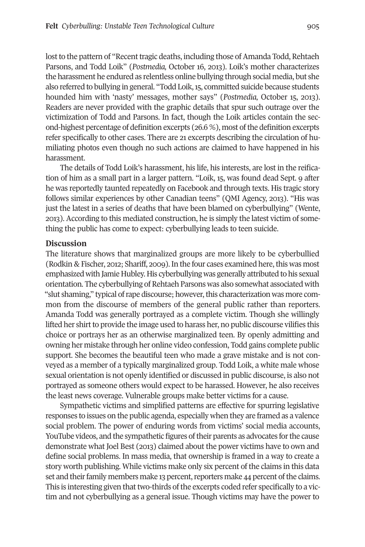lost to the pattern of "Recent tragic deaths, including those of Amanda Todd, Rehtaeh Parsons, and Todd Loik" (*Postmedia,* October 16, 2013). Loik's mother characterizes the harassment he endured as relentless online bullying through social media, but she also referred to bullying in general. "Todd Loik,15, committed suicide because students hounded him with 'nasty' messages, mother says" (*Postmedia,* October 15, 2013). Readers are never provided with the graphic details that spur such outrage over the victimization of Todd and Parsons. In fact, though the Loik articles contain the second-highest percentage of definition excerpts  $(26.6\%)$ , most of the definition excerpts refer specifically to other cases. There are 21 excerpts describing the circulation of humiliating photos even though no such actions are claimed to have happened in his harassment.

The details of Todd Loik's harassment, his life, his interests, are lost in the reification of him as a small part in a larger pattern. "Loik, 15, was found dead Sept. 9 after he was reportedly taunted repeatedly on Facebook and through texts. His tragic story follows similar experiences by other Canadian teens" (QMI Agency, 2013). "His was just the latest in a series of deaths that have been blamed on cyberbullying" (Wente, 2013). According to this mediated construction, he is simply the latest victim of something the public has come to expect: cyberbullying leads to teen suicide.

#### **Discussion**

The literature shows that marginalized groups are more likely to be cyberbullied (Rodkin & Fischer, 2012; Shariff, 2009). In the four cases examined here, this was most emphasized with Jamie Hubley. His cyberbullying was generally attributed to his sexual orientation. The cyberbullying of Rehtaeh Parsons was also somewhat associated with "slut shaming," typical of rape discourse; however, this characterization was more common from the discourse of members of the general public rather than reporters. Amanda Todd was generally portrayed as a complete victim. Though she willingly lifted her shirt to provide the image used to harass her, no public discourse vilifies this choice or portrays her as an otherwise marginalized teen. By openly admitting and owning her mistake through her online video confession, Todd gains complete public support. She becomes the beautiful teen who made a grave mistake and is not conveyed as a member of a typically marginalized group. Todd Loik, a white male whose sexual orientation is not openly identified or discussed in public discourse, is also not portrayed as someone others would expect to be harassed. However, he also receives the least news coverage. Vulnerable groups make better victims for a cause.

Sympathetic victims and simplified patterns are effective for spurring legislative responses to issues on the public agenda, especially when they are framed as a valence social problem. The power of enduring words from victims' social media accounts, YouTube videos, and the sympathetic figures of their parents as advocates for the cause demonstrate what Joel Best (2013) claimed about the power victims have to own and define social problems. In mass media, that ownership is framed in a way to create a story worth publishing. While victims make only six percent of the claims in this data set and their family members make 13 percent, reporters make 44 percent of the claims. This is interesting given that two-thirds of the excerpts coded refer specifically to a victim and not cyberbullying as a general issue. Though victims may have the power to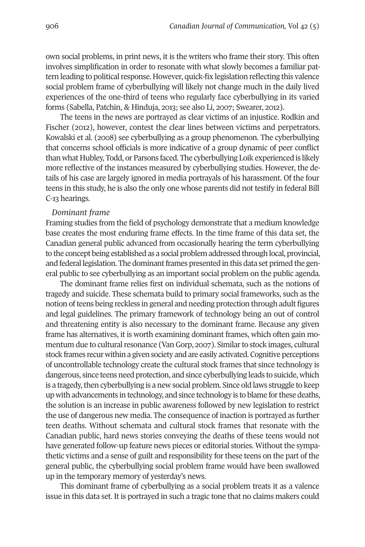own social problems, in print news, it is the writers who frame their story. This often involves simplification in order to resonate with what slowly becomes a familiar pattern leading to political response. However, quick-fix legislation reflecting this valence social problem frame of cyberbullying will likely not change much in the daily lived experiences of the one-third of teens who regularly face cyberbullying in its varied forms (Sabella, Patchin, & Hinduja, 2013; see also Li, 2007; Swearer, 2012).

The teens in the news are portrayed as clear victims of an injustice. Rodkin and Fischer (2012), however, contest the clear lines between victims and perpetrators. Kowalski et al. (2008) see cyberbullying as a group phenomenon. The cyberbullying that concerns school officials is more indicative of a group dynamic of peer conflict than what Hubley, Todd, or Parsons faced. The cyberbullying Loik experienced is likely more reflective of the instances measured by cyberbullying studies. However, the details of his case are largely ignored in media portrayals of his harassment. Of the four teens in this study, he is also the only one whose parents did not testify in federal Bill C-13 hearings.

#### *Dominant frame*

Framing studies from the field of psychology demonstrate that a medium knowledge base creates the most enduring frame effects. In the time frame of this data set, the Canadian general public advanced from occasionally hearing the term cyberbullying to the concept being established as a social problem addressed through local, provincial, and federal legislation. The dominant frames presented in this data set primed the general public to see cyberbullying as an important social problem on the public agenda.

The dominant frame relies first on individual schemata, such as the notions of tragedy and suicide. These schemata build to primary social frameworks, such as the notion of teens being reckless in general and needing protection through adult figures and legal guidelines. The primary framework of technology being an out of control and threatening entity is also necessary to the dominant frame. Because any given frame has alternatives, it is worth examining dominant frames, which often gain momentum due to cultural resonance (Van Gorp, 2007). Similar to stock images, cultural stock frames recur within a given society and are easily activated. Cognitive perceptions of uncontrollable technology create the cultural stock frames that since technology is dangerous, since teens need protection, and since cyberbullying leads to suicide, which is a tragedy, then cyberbullying is a new social problem. Since old laws struggle to keep up with advancements in technology, and since technology is to blame forthese deaths, the solution is an increase in public awareness followed by new legislation to restrict the use of dangerous new media. The consequence of inaction is portrayed as further teen deaths. Without schemata and cultural stock frames that resonate with the Canadian public, hard news stories conveying the deaths of these teens would not have generated follow-up feature news pieces or editorial stories. Without the sympathetic victims and a sense of guilt and responsibility for these teens on the part of the general public, the cyberbullying social problem frame would have been swallowed up in the temporary memory of yesterday's news.

This dominant frame of cyberbullying as a social problem treats it as a valence issue in this data set. It is portrayed in such a tragic tone that no claims makers could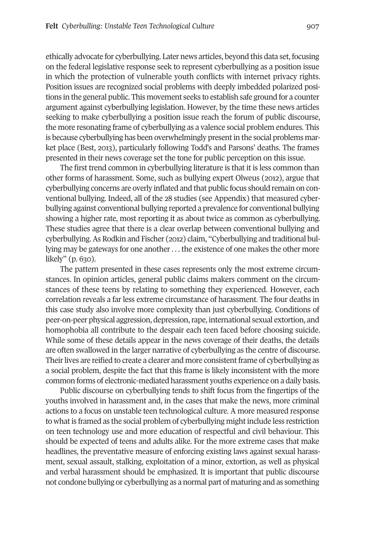ethically advocate for cyberbullying. Later news articles, beyond this data set, focusing on the federal legislative response seek to represent cyberbullying as a position issue in which the protection of vulnerable youth conflicts with internet privacy rights. Position issues are recognized social problems with deeply imbedded polarized positions in the general public. This movement seeks to establish safe ground for a counter argument against cyberbullying legislation. However, by the time these news articles seeking to make cyberbullying a position issue reach the forum of public discourse, the more resonating frame of cyberbullying as a valence social problem endures. This is because cyberbullying has been overwhelmingly present in the social problems market place (Best, 2013), particularly following Todd's and Parsons' deaths. The frames presented in their news coverage set the tone for public perception on this issue.

The first trend common in cyberbullying literature is that it is less common than other forms of harassment. Some, such as bullying expert Olweus (2012), argue that cyberbullying concerns are overly inflated and that public focus should remain on conventional bullying. Indeed, all of the 28 studies (see Appendix) that measured cyberbullying against conventional bullying reported a prevalence for conventional bullying showing a higher rate, most reporting it as about twice as common as cyberbullying. These studies agree that there is a clear overlap between conventional bullying and cyberbullying.As Rodkin and Fischer (2012) claim, "Cyberbullying and traditional bullying may be gateways for one another . . . the existence of one makes the other more likely" (p. 630).

The pattern presented in these cases represents only the most extreme circumstances. In opinion articles, general public claims makers comment on the circumstances of these teens by relating to something they experienced. However, each correlation reveals a far less extreme circumstance of harassment. The four deaths in this case study also involve more complexity than just cyberbullying. Conditions of peer-on-peer physical aggression, depression,rape, international sexual extortion, and homophobia all contribute to the despair each teen faced before choosing suicide. While some of these details appear in the news coverage of their deaths, the details are often swallowed in the larger narrative of cyberbullying as the centre of discourse. Their lives are reified to create a clearer and more consistent frame of cyberbullying as a social problem, despite the fact that this frame is likely inconsistent with the more common forms of electronic-mediated harassment youths experience on a daily basis.

Public discourse on cyberbullying tends to shift focus from the fingertips of the youths involved in harassment and, in the cases that make the news, more criminal actions to a focus on unstable teen technological culture. A more measured response to what is framed as the social problem of cyberbullying might include less restriction on teen technology use and more education of respectful and civil behaviour. This should be expected of teens and adults alike. For the more extreme cases that make headlines, the preventative measure of enforcing existing laws against sexual harassment, sexual assault, stalking, exploitation of a minor, extortion, as well as physical and verbal harassment should be emphasized. It is important that public discourse not condone bullying or cyberbullying as a normal part of maturing and as something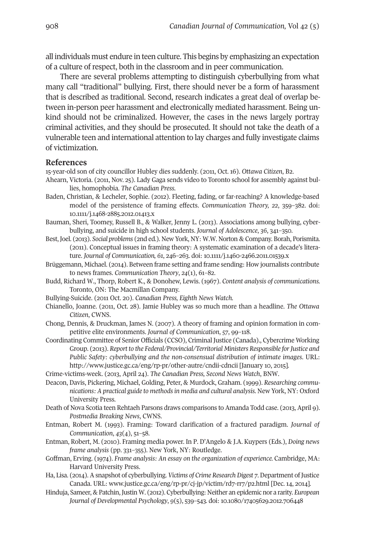all individuals must endure in teen culture. This begins by emphasizing an expectation of a culture of respect, both in the classroom and in peer communication.

There are several problems attempting to distinguish cyberbullying from what many call "traditional" bullying. First, there should never be a form of harassment that is described as traditional. Second, research indicates a great deal of overlap between in-person peer harassment and electronically mediated harassment. Being unkind should not be criminalized. However, the cases in the news largely portray criminal activities, and they should be prosecuted. It should not take the death of a vulnerable teen and international attention to lay charges and fully investigate claims of victimization.

#### **References**

15-year-old son of city councillor Hubley dies suddenly. (2011, Oct. 16). *Ottawa Citizen*, B2.

- Ahearn, Victoria. (2011, Nov. 25). Lady Gaga sends video to Toronto school for assembly against bullies, homophobia. *The Canadian Press.*
- Baden, Christian, & Lecheler, Sophie. (2012). Fleeting, fading, or far-reaching? A knowledge-based model of the persistence of framing effects. *Communication Theory, 22*, 359–382. doi: 10.1111/j.1468-2885.2012.01413.x
- Bauman, Sheri, Toomey, Russell B., & Walker, Jenny L. (2013). Associations among bullying, cyberbullying, and suicide in high school students. *Journal of Adolescence*, *36*, 341–350.
- Best,Joel. (2013). *Social problems* (2nd ed.). New York, NY: W.W. Norton & Company. Borah, Porismita. (2011). Conceptual issues in framing theory: A systematic examination of a decade's literature. *Journal of Communication, 61*, 246–263. doi: [10.1111/j.1460-2466.2011.01539.x](http://doi.org/10.1111/j.1460-2466.2011.01539.x)
- Brüggemann, Michael. (2014). Between frame setting and frame sending: How journalists contribute to news frames. *Communication Theory*, *24*(1), 61–82.
- Budd, Richard W., Thorp, Robert K., & Donohew, Lewis. (1967). *Content analysis of communications.* Toronto, ON: The Macmillan Company.
- Bullying-Suicide. (2011 Oct. 20). *Canadian Press, Eighth News Watch.*
- Chianello, Joanne. (2011, Oct. 28). Jamie Hubley was so much more than a headline. *The Ottawa Citizen*, CWNS.
- Chong, Dennis, & Druckman, James N. (2007). A theory of framing and opinion formation in competitive elite environments. *Journal of Communication*, *57*, 99–118.
- Coordinating Committee of Senior Officials (CCSO), Criminal Justice (Canada)., Cybercrime Working Group. (2013). *Report to the Federal/Provincial/Territorial Ministers Responsible forJustice and Public Safety: cyberbullying and the non-consensual distribution of intimate images*. URL: <http://www.justice.gc.ca/eng/rp-pr/other-autre/cndii-cdncii> [January 10, 2015].
- Crime-victims-week. (2013, April 24). *The Canadian Press, Second News Watch*, BNW.
- Deacon, Davis, Pickering, Michael, Golding, Peter, & Murdock, Graham. (1999). *Researching communications: A practical guide to methodsin media and cultural analysis.* New York, NY: Oxford University Press.
- Death of Nova Scotia teen Rehtaeh Parsons draws comparisons to Amanda Todd case. (2013, April 9). *Postmedia Breaking News*, CWNS.
- Entman, Robert M. (1993). Framing: Toward clarification of a fractured paradigm. *Journal of Communication*, *43*(4), 51–58.
- Entman, Robert, M. (2010). Framing media power. In P. D'Angelo & J.A. Kuypers (Eds.), *Doing news frame analysis* (pp. 331–355)*.* New York, NY: Routledge.
- Goffman, Erving. (1974). *Frame analysis: An essay on the organization of experience.* Cambridge, MA: Harvard University Press.
- Ha, Lisa. (2014). A snapshot of cyberbullying. *Victims* of *Crime Research Digest* 7. Department of Justice Canada. URL: [www.justice.gc.ca/eng/rp-pr/cj-jp/victim/rd7-rr7/p2.html](http://www.justice.gc.ca/eng/rp-pr/cj-jp/victim/rd7-rr7/p2.html) [Dec. 14, 2014].
- Hinduja, Sameer, & Patchin,Justin W. (2012). Cyberbullying: Neither an epidemic nor a rarity. *European Journal of Developmental Psychology*, *9*(5), 539–543*.* doi: [10.1080/17405629.2012.706448](http://doi.org/10.1080/17405629.2012.706448)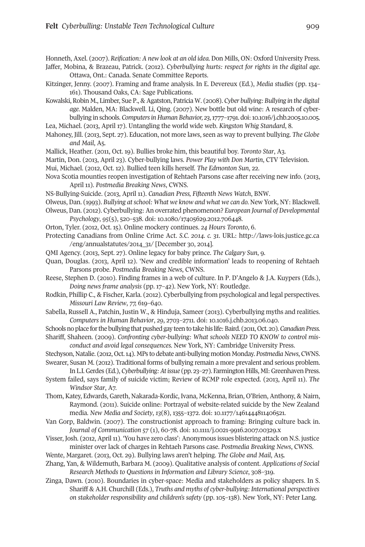Honneth, Axel. (2007). *Reification: A new look at an old idea.* Don Mills, ON: Oxford University Press. Jaffer, Mobina, & Brazeau, Patrick. (2012). *Cyberbullying hurts: respect for rights in the digital age*.

Ottawa, Ont.: Canada. Senate Committee Reports.

- Kitzinger, Jenny. (2007). Framing and frame analysis. In E. Devereux (Ed.), *Media studies* (pp. 134– 161). Thousand Oaks, CA: Sage Publications.
- Kowalski,Robin M., Limber, Sue P., & Agatston, Patricia W. (2008). *Cyber bullying: Bullying in the digital age*. Malden, MA: Blackwell. Li, Qing. (2007). New bottle but old wine: A research of cyberbullying in schools. *Computersin Human Behavior, 23*,1777–1791. doi[:10.1016/j.chb.2005.10.005.](http://doi.org/10.1016/j.chb.2005.10.005)

Lea, Michael. (2013, April 17). Untangling the world wide web. *Kingston Whig Standard*, 8.

- Mahoney, Jill. (2013, Sept. 27). Education, not more laws, seen as way to prevent bullying. *The Globe and Mail*, A5.
- Mallick, Heather. (2011, Oct. 19). Bullies broke him, this beautiful boy. *Toronto Star*, A3.
- Martin, Don. (2013, April 23). Cyber-bullying laws. *Power Play with Don Martin*, CTV Television. Mui, Michael. (2012, Oct. 12). Bullied teen kills herself. *The Edmonton Sun*, 22.
- Nova Scotia mounties reopen investigation of Rehtaeh Parsons case after receiving new info. (2013, April 11). *Postmedia Breaking News*, CWNS.
- NS-Bullying-Suicide. (2013, April 11). *Canadian Press, Fifteenth News Watch*, BNW.
- Olweus, Dan. (1993). *Bullying atschool: What we know and what we can do.* New York, NY: Blackwell.
- Olweus, Dan. (2012). Cyberbullying: An overrated phenomenon? *European Journal of Developmental Psychology*, *95*(5), 520–538. doi: [10.1080/17405629.2012.706448.](http://doi.org/10.1080/17405629.2012.706448)
- Orton, Tyler. (2012, Oct. 15). Online mockery continues. *24 Hours Toronto*, 6.
- Protecting Canadians from Online Crime Act. *S.C. 2014. c. 31*. URL: [http://laws-lois.justice.gc.ca](http://laws-lois.justice.gc.ca/eng/annualstatutes/2014_31) [/eng/annualstatutes/2014\\_31/](http://laws-lois.justice.gc.ca/eng/annualstatutes/2014_31) [December 30, 2014].
- QMI Agency. (2013, Sept. 27). Online legacy for baby prince. *The Calgary Sun*, 9.
- Quan, Douglas. (2013, April 12). 'New and credible information' leads to reopening of Rehtaeh Parsons probe. *Postmedia Breaking News*, CWNS.
- Reese, Stephen D. (2010). Finding frames in a web of culture. In P. D'Angelo & J.A. Kuypers (Eds.), *Doing news frame analysis* (pp. 17–42)*.* New York, NY: Routledge.
- Rodkin, Phillip C., & Fischer, Karla. (2012). Cyberbullying from psychological and legal perspectives. *Missouri Law Review*, *77,* 619–640.
- Sabella, Russell A., Patchin, Justin W., & Hinduja, Sameer (2013). Cyberbullying myths and realities. *Computers in Human Behavior*, *29*, 2703–2711. doi: [10.1016.j.chb.2013.06.040.](http://doi.org/10.1016.j.chb.2013.06.040)
- Schools no place for the bullying that pushed gay teen to take his life: Baird. (2011, Oct. 20). *Canadian Press.*
- Shariff, Shaheen. (2009). *Confronting cyber-bullying: What schools NEED TO KNOW to control misconduct and avoid legal consequences.* New York, NY: Cambridge University Press.
- Stechyson, Natalie. (2012, Oct. 14). MPs to debate anti-bullying motion Monday. *Postmedia News*, CWNS. Swearer, Susan M. (2012). Traditional forms of bullying remain a more prevalent and serious problem.
- In L.I.Gerdes (Ed.), *Cyberbullying:Atissue* (pp. 23–27). Farmington Hills, MI:Greenhaven Press. System failed, says family of suicide victim; Review of RCMP role expected. (2013, April 11). *The Windsor Star*, A7.
- Thom, Katey, Edwards, Gareth, Nakarada-Kordic, Ivana, McKenna, Brian, O'Brien, Anthony, & Nairn, Raymond. (2011). Suicide online: Portrayal of website-related suicide by the New Zealand media. *New Media and Society*, *13*(8), 1355–1372. doi: [10.1177/1461444811406521.](http://doi.org/10.1177/1461444811406521)
- Van Gorp, Baldwin. (2007). The constructionist approach to framing: Bringing culture back in. *Journal of Communication 57* (1), 60-78. doi: [10.1111/j.0021-9916.2007.00329.x](http://doi.org/10.1111/j.0021-9916.2007.00329.x)
- Visser, Josh. (2012, April11). 'You have zero class': Anonymous issues blistering attack on N.S. justice minister over lack of charges in Rehtaeh Parsons case. *Postmedia Breaking News*, CWNS.
- Wente, Margaret. (2013, Oct. 29). Bullying laws aren't helping. *The Globe and Mail*, A15.
- Zhang, Yan, & Wildemuth, Barbara M. (2009). Qualitative analysis of content. *Applications of Social Research Methods to Questions in Information and Library Science*, 308–319.
- Zinga, Dawn. (2010). Boundaries in cyber-space: Media and stakeholders as policy shapers. In S. Shariff & A.H. Churchill (Eds.), *Truths and myths of cyber-bullying: International perspectives on stakeholder responsibility and children's safety* (pp. 105–138). New York, NY: Peter Lang.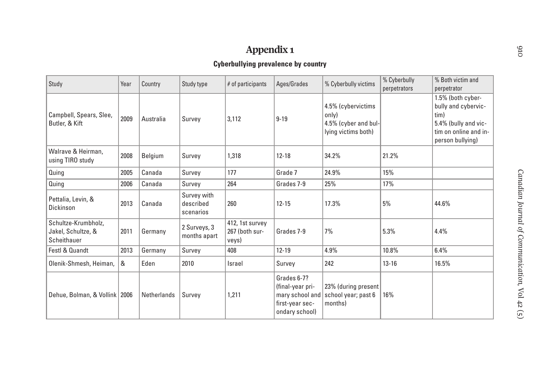# **Appendix <sup>1</sup>**

## **Cyberbullying prevalence by country**

| Study                                                    | Year | Country     | Study type                            | $#$ of participants                        | Ages/Grades                                                                             | % Cyberbully victims                                                       | % Cyberbully<br>perpetrators | % Both victim and<br>perpetrator                                                                                      |
|----------------------------------------------------------|------|-------------|---------------------------------------|--------------------------------------------|-----------------------------------------------------------------------------------------|----------------------------------------------------------------------------|------------------------------|-----------------------------------------------------------------------------------------------------------------------|
| Campbell, Spears, Slee,<br>Butler, & Kift                | 2009 | Australia   | Survey                                | 3,112                                      | $9 - 19$                                                                                | 4.5% (cybervictims<br>only)<br>4.5% (cyber and bul-<br>lying victims both) |                              | 1.5% (both cyber-<br>bully and cybervic-<br>tim)<br>5.4% (bully and vic-<br>tim on online and in-<br>person bullying) |
| Walrave & Heirman.<br>using TIRO study                   | 2008 | Belgium     | Survey                                | 1,318                                      | $12 - 18$                                                                               | 34.2%                                                                      | 21.2%                        |                                                                                                                       |
| Quing                                                    | 2005 | Canada      | Survey                                | 177                                        | Grade 7                                                                                 | 24.9%                                                                      | 15%                          |                                                                                                                       |
| Quing                                                    | 2006 | Canada      | Survey                                | 264                                        | Grades 7-9                                                                              | 25%                                                                        | 17%                          |                                                                                                                       |
| Pettalia, Levin, &<br>Dickinson                          | 2013 | Canada      | Survey with<br>described<br>scenarios | 260                                        | $12 - 15$                                                                               | 17.3%                                                                      | 5%                           | 44.6%                                                                                                                 |
| Schultze-Krumbholz,<br>Jakel, Schultze, &<br>Scheithauer | 2011 | Germany     | 2 Surveys, 3<br>months apart          | 412, 1st survey<br>267 (both sur-<br>veys) | Grades 7-9                                                                              | 7%                                                                         | 5.3%                         | 4.4%                                                                                                                  |
| <b>Festl &amp; Quandt</b>                                | 2013 | Germany     | Survey                                | 408                                        | $12 - 19$                                                                               | 4.9%                                                                       | 10.8%                        | 6.4%                                                                                                                  |
| Olenik-Shmesh, Heiman,                                   | &    | Eden        | 2010                                  | Israel                                     | Survey                                                                                  | 242                                                                        | $13 - 16$                    | 16.5%                                                                                                                 |
| Dehue, Bolman, & Vollink   2006                          |      | Netherlands | Survey                                | 1,211                                      | Grades 6-7?<br>(final-year pri-<br>mary school and<br>first-year sec-<br>ondary school) | 23% (during present<br>school year; past 6<br>months)                      | 16%                          |                                                                                                                       |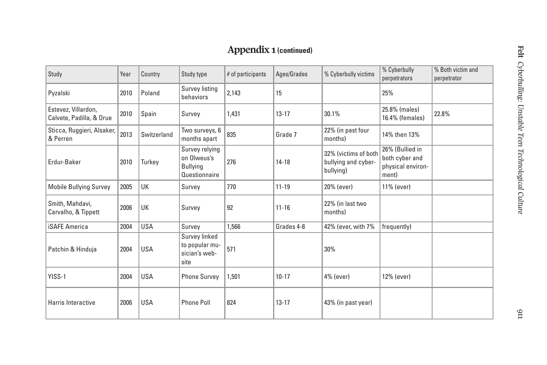## **Appendix <sup>1</sup> (continued)**

| Study                                           | Year | Country     | Study type                                                        | # of participants | Ages/Grades | % Cyberbully victims                                     | % Cyberbully<br>perpetrators                                    | % Both victim and<br>perpetrator |
|-------------------------------------------------|------|-------------|-------------------------------------------------------------------|-------------------|-------------|----------------------------------------------------------|-----------------------------------------------------------------|----------------------------------|
| Pyzalski                                        | 2010 | Poland      | Survey listing<br>behaviors                                       | 2,143             | 15          |                                                          | 25%                                                             |                                  |
| Estevez, Villardon,<br>Calvete, Padilla, & Orue | 2010 | Spain       | Survey                                                            | 1,431             | $13 - 17$   | 30.1%                                                    | 25.8% (males)<br>16.4% (females)                                | 22.8%                            |
| Sticca, Ruggieri, Alsaker,<br>& Perren          | 2013 | Switzerland | Two surveys, 6<br>months apart                                    | 835               | Grade 7     | 22% (in past four<br>months)                             | 14% then 13%                                                    |                                  |
| Erdur-Baker                                     | 2010 | Turkey      | Survey relying<br>on Olweus's<br><b>Bullying</b><br>Questionnaire | 276               | $14 - 18$   | 32% (victims of both<br>bullying and cyber-<br>bullying) | 26% (Bullied in<br>both cyber and<br>physical environ-<br>ment) |                                  |
| <b>Mobile Bullying Survey</b>                   | 2005 | UK          | Survey                                                            | 770               | $11 - 19$   | 20% (ever)                                               | 11% (ever)                                                      |                                  |
| Smith, Mahdavi,<br>Carvalho, & Tippett          | 2006 | UK          | Survey                                                            | 92                | $11 - 16$   | 22% (in last two<br>months)                              |                                                                 |                                  |
| <b>iSAFE America</b>                            | 2004 | <b>USA</b>  | Survey                                                            | 1,566             | Grades 4-8  | 42% (ever, with 7%                                       | frequently)                                                     |                                  |
| Patchin & Hinduja                               | 2004 | <b>USA</b>  | Survey linked<br>to popular mu-<br>sician's web-<br>site          | 571               |             | 30%                                                      |                                                                 |                                  |
| YISS-1                                          | 2004 | <b>USA</b>  | <b>Phone Survey</b>                                               | 1,501             | $10 - 17$   | 4% (ever)                                                | 12% (ever)                                                      |                                  |
| Harris Interactive                              | 2006 | <b>USA</b>  | <b>Phone Poll</b>                                                 | 824               | $13 - 17$   | 43% (in past year)                                       |                                                                 |                                  |